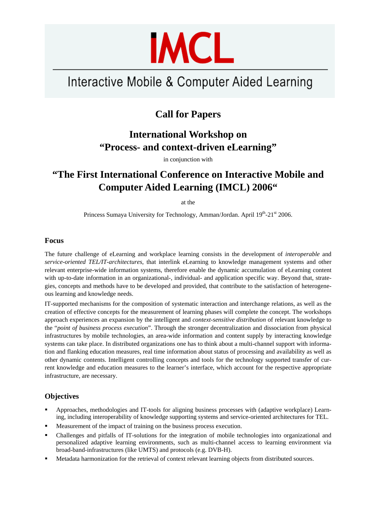

# Interactive Mobile & Computer Aided Learning

## **Call for Papers**

## **International Workshop on "Process- and context-driven eLearning"**

in conjunction with

## **"The First International Conference on Interactive Mobile and Computer Aided Learning (IMCL) 2006"**

at the

Princess Sumaya University for Technology, Amman/Jordan. April 19<sup>th</sup>-21<sup>st</sup> 2006.

### **Focus**

The future challenge of eLearning and workplace learning consists in the development of *interoperable* and *service-oriented TEL/IT-architectures*, that interlink eLearning to knowledge management systems and other relevant enterprise-wide information systems, therefore enable the dynamic accumulation of eLearning content with up-to-date information in an organizational-, individual- and application specific way. Beyond that, strategies, concepts and methods have to be developed and provided, that contribute to the satisfaction of heterogeneous learning and knowledge needs.

IT-supported mechanisms for the composition of systematic interaction and interchange relations, as well as the creation of effective concepts for the measurement of learning phases will complete the concept. The workshops approach experiences an expansion by the intelligent and *context-sensitive distribution* of relevant knowledge to the "*point of business process execution*". Through the stronger decentralization and dissociation from physical infrastructures by mobile technologies, an area-wide information and content supply by interacting knowledge systems can take place. In distributed organizations one has to think about a multi-channel support with information and flanking education measures, real time information about status of processing and availability as well as other dynamic contents. Intelligent controlling concepts and tools for the technology supported transfer of current knowledge and education measures to the learner's interface, which account for the respective appropriate infrastructure, are necessary.

### **Objectives**

- Approaches, methodologies and IT-tools for aligning business processes with (adaptive workplace) Learning, including interoperability of knowledge supporting systems and service-oriented architectures for TEL.
- Measurement of the impact of training on the business process execution.
- Challenges and pitfalls of IT-solutions for the integration of mobile technologies into organizational and personalized adaptive learning environments, such as multi-channel access to learning environment via broad-band-infrastructures (like UMTS) and protocols (e.g. DVB-H).
- Metadata harmonization for the retrieval of context relevant learning objects from distributed sources.